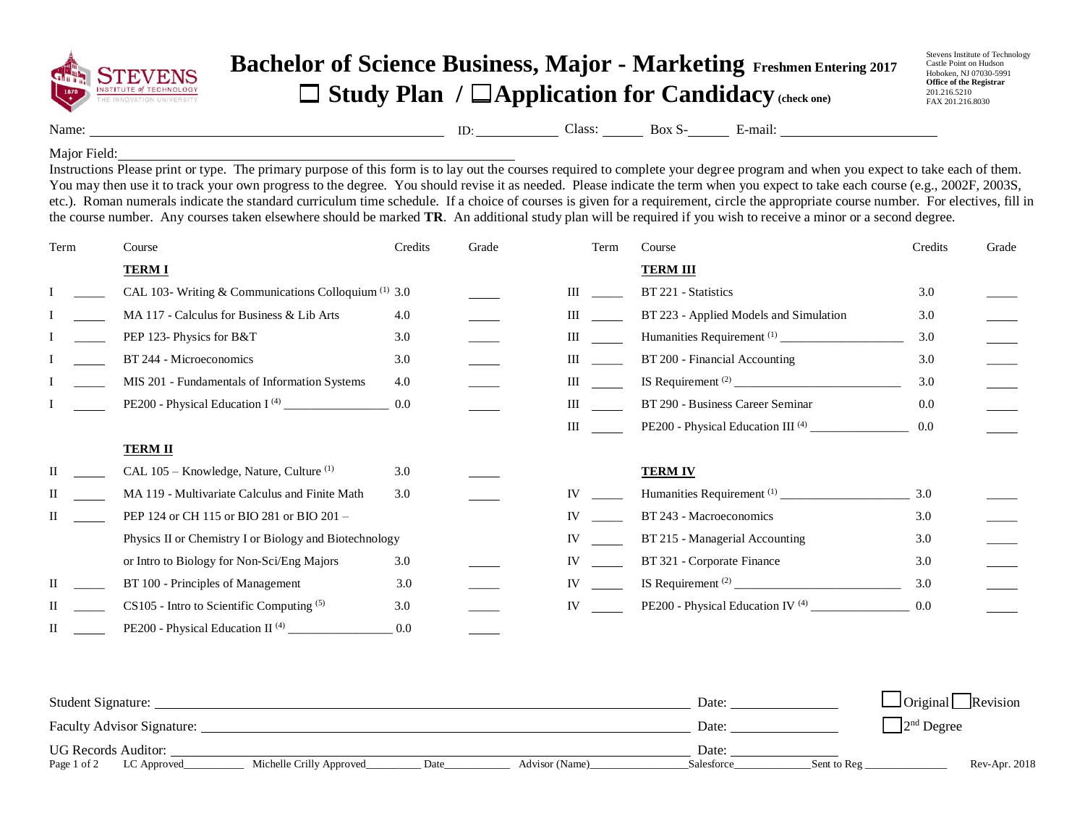

## **Bachelor of Science Business, Major - Marketing Freshmen Entering 2017** ☐ **Study Plan /** ☐**Application for Candidacy (check one)**

Stevens Institute of Technology Castle Point on Hudson Hoboken, NJ 07030-5991 **Office of the Registrar** 201.216.5210 FAX 201.216.8030

Name: <u>Class: Box S- B-mail:</u> E-mail:

Major Field:

Instructions Please print or type. The primary purpose of this form is to lay out the courses required to complete your degree program and when you expect to take each of them. You may then use it to track your own progress to the degree. You should revise it as needed. Please indicate the term when you expect to take each course (e.g., 2002F, 2003S, etc.). Roman numerals indicate the standard curriculum time schedule. If a choice of courses is given for a requirement, circle the appropriate course number. For electives, fill in the course number. Any courses taken elsewhere should be marked **TR**. An additional study plan will be required if you wish to receive a minor or a second degree.

| Term | Course                                                 | Credits | Grade | Term               | Course                                                        | Credits | Grade |
|------|--------------------------------------------------------|---------|-------|--------------------|---------------------------------------------------------------|---------|-------|
|      | <b>TERMI</b>                                           |         |       |                    | <b>TERM III</b>                                               |         |       |
|      | CAL 103- Writing & Communications Colloquium (1) 3.0   |         |       | Ш                  | BT 221 - Statistics                                           | 3.0     |       |
|      | MA 117 - Calculus for Business & Lib Arts              | 4.0     |       | Ш                  | BT 223 - Applied Models and Simulation                        | 3.0     |       |
|      | PEP 123- Physics for B&T                               | 3.0     |       | Ш                  |                                                               | 3.0     |       |
|      | BT 244 - Microeconomics                                | 3.0     |       | Ш                  | BT 200 - Financial Accounting                                 | 3.0     |       |
|      | MIS 201 - Fundamentals of Information Systems          | 4.0     |       | $\mathop{\rm III}$ |                                                               | 3.0     |       |
|      |                                                        | 0.0     |       | Ш                  | BT 290 - Business Career Seminar                              | 0.0     |       |
|      |                                                        |         |       | III                | PE200 - Physical Education III <sup>(4)</sup>                 | 0.0     |       |
|      | <b>TERM II</b>                                         |         |       |                    |                                                               |         |       |
|      | CAL 105 - Knowledge, Nature, Culture <sup>(1)</sup>    | 3.0     |       |                    | <b>TERM IV</b>                                                |         |       |
|      | MA 119 - Multivariate Calculus and Finite Math         | 3.0     |       | IV                 |                                                               | 3.0     |       |
|      | PEP 124 or CH 115 or BIO 281 or BIO 201 -              |         |       | IV                 | BT 243 - Macroeconomics                                       | 3.0     |       |
|      | Physics II or Chemistry I or Biology and Biotechnology |         |       | IV                 | BT 215 - Managerial Accounting                                | 3.0     |       |
|      | or Intro to Biology for Non-Sci/Eng Majors             | 3.0     |       | IV                 | BT 321 - Corporate Finance                                    | 3.0     |       |
|      | BT 100 - Principles of Management                      | 3.0     |       | IV                 |                                                               | 3.0     |       |
|      | $CS105$ - Intro to Scientific Computing $(5)$          | 3.0     |       | IV                 | PE200 - Physical Education IV <sup>(4)</sup> ________________ | 0.0     |       |
| Н    | PE200 - Physical Education II <sup>(4)</sup>           | 0.0     |       |                    |                                                               |         |       |

| <b>Student Signature:</b>  |                          |       |                | Date:                     | $\Box$ Original $\Box$ Revision |
|----------------------------|--------------------------|-------|----------------|---------------------------|---------------------------------|
| Faculty Advisor Signature: |                          | Date: | $2nd$ Degree   |                           |                                 |
| <b>UG Records Auditor:</b> |                          |       |                | Date:                     |                                 |
| Page 1 of 2<br>LC Approved | Michelle Crilly Approved | Date  | Advisor (Name) | Sent to Reg<br>Salesforce | Rev-Apr. 2018                   |